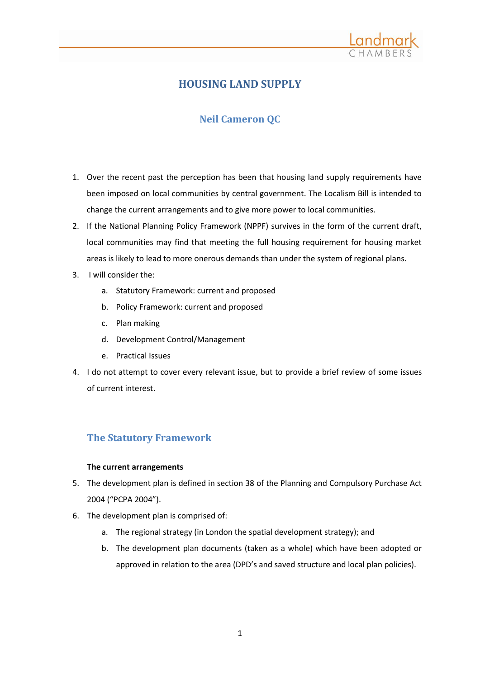

# **HOUSING LAND SUPPLY**

# **Neil Cameron QC**

- 1. Over the recent past the perception has been that housing land supply requirements have been imposed on local communities by central government. The Localism Bill is intended to change the current arrangements and to give more power to local communities.
- 2. If the National Planning Policy Framework (NPPF) survives in the form of the current draft, local communities may find that meeting the full housing requirement for housing market areas is likely to lead to more onerous demands than under the system of regional plans.
- 3. I will consider the:
	- a. Statutory Framework: current and proposed
	- b. Policy Framework: current and proposed
	- c. Plan making
	- d. Development Control/Management
	- e. Practical Issues
- 4. I do not attempt to cover every relevant issue, but to provide a brief review of some issues of current interest.

# **The Statutory Framework**

## **The current arrangements**

- 5. The development plan is defined in section 38 of the Planning and Compulsory Purchase Act 2004 ("PCPA 2004").
- 6. The development plan is comprised of:
	- a. The regional strategy (in London the spatial development strategy); and
	- b. The development plan documents (taken as a whole) which have been adopted or approved in relation to the area (DPD's and saved structure and local plan policies).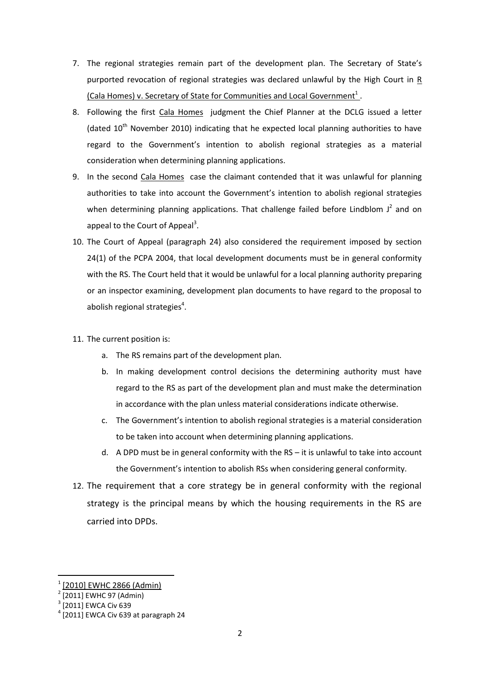- 7. The regional strategies remain part of the development plan. The Secretary of State's purported revocation of regional strategies was declared unlawful by the High Court in R (Cala Homes) v. Secretary of State for Communities and Local Government<sup>1</sup>.
- 8. Following the first Cala Homes judgment the Chief Planner at the DCLG issued a letter (dated  $10<sup>th</sup>$  November 2010) indicating that he expected local planning authorities to have regard to the Government's intention to abolish regional strategies as a material consideration when determining planning applications.
- 9. In the second Cala Homes case the claimant contended that it was unlawful for planning authorities to take into account the Government's intention to abolish regional strategies when determining planning applications. That challenge failed before Lindblom  $J^2$  and on appeal to the Court of Appeal<sup>3</sup>.
- 10. The Court of Appeal (paragraph 24) also considered the requirement imposed by section 24(1) of the PCPA 2004, that local development documents must be in general conformity with the RS. The Court held that it would be unlawful for a local planning authority preparing or an inspector examining, development plan documents to have regard to the proposal to abolish regional strategies<sup>4</sup>.
- 11. The current position is:
	- a. The RS remains part of the development plan.
	- b. In making development control decisions the determining authority must have regard to the RS as part of the development plan and must make the determination in accordance with the plan unless material considerations indicate otherwise.
	- c. The Government's intention to abolish regional strategies is a material consideration to be taken into account when determining planning applications.
	- d. A DPD must be in general conformity with the RS it is unlawful to take into account the Government's intention to abolish RSs when considering general conformity.
- 12. The requirement that a core strategy be in general conformity with the regional strategy is the principal means by which the housing requirements in the RS are carried into DPDs.

**.** 

<sup>1</sup> [2010] EWHC 2866 (Admin)

<sup>2</sup> [2011] EWHC 97 (Admin)

<sup>3</sup> [2011] EWCA Civ 639

 $<sup>4</sup>$  [2011] EWCA Civ 639 at paragraph 24</sup>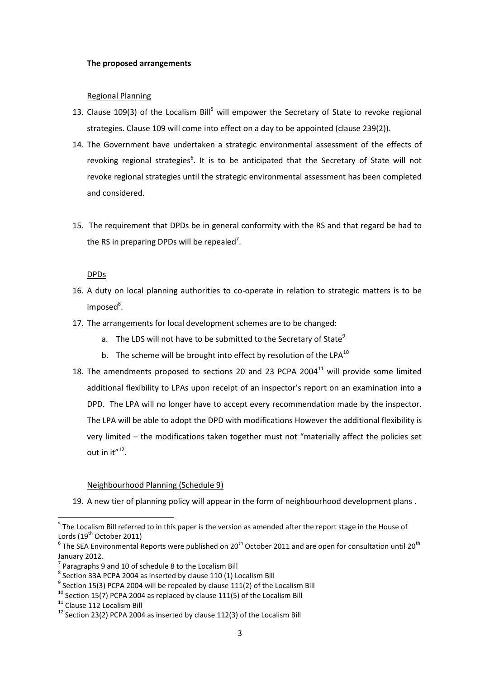#### **The proposed arrangements**

### Regional Planning

- 13. Clause 109(3) of the Localism Bill<sup>5</sup> will empower the Secretary of State to revoke regional strategies. Clause 109 will come into effect on a day to be appointed (clause 239(2)).
- 14. The Government have undertaken a strategic environmental assessment of the effects of revoking regional strategies<sup>6</sup>. It is to be anticipated that the Secretary of State will not revoke regional strategies until the strategic environmental assessment has been completed and considered.
- 15. The requirement that DPDs be in general conformity with the RS and that regard be had to the RS in preparing DPDs will be repealed<sup>7</sup>.

### **DPDs**

- 16. A duty on local planning authorities to co-operate in relation to strategic matters is to be imposed<sup>8</sup>.
- 17. The arrangements for local development schemes are to be changed:
	- a. The LDS will not have to be submitted to the Secretary of State $<sup>9</sup>$ </sup>
	- b. The scheme will be brought into effect by resolution of the LPA $^{10}$
- 18. The amendments proposed to sections 20 and 23 PCPA 2004 $^{11}$  will provide some limited additional flexibility to LPAs upon receipt of an inspector's report on an examination into a DPD. The LPA will no longer have to accept every recommendation made by the inspector. The LPA will be able to adopt the DPD with modifications However the additional flexibility is very limited – the modifications taken together must not "materially affect the policies set out in  $it''<sup>12</sup>$ .

#### Neighbourhood Planning (Schedule 9)

19. A new tier of planning policy will appear in the form of neighbourhood development plans .

<sup>11</sup> Clause 112 Localism Bill

 5 The Localism Bill referred to in this paper is the version as amended after the report stage in the House of Lords  $(19<sup>th</sup> October 2011)$ 

 $^6$  The SEA Environmental Reports were published on 20<sup>th</sup> October 2011 and are open for consultation until 20<sup>th</sup> January 2012.

 $7$  Paragraphs 9 and 10 of schedule 8 to the Localism Bill

 $^8$  Section 33A PCPA 2004 as inserted by clause 110 (1) Localism Bill

 $^9$  Section 15(3) PCPA 2004 will be repealed by clause 111(2) of the Localism Bill

 $^{10}$  Section 15(7) PCPA 2004 as replaced by clause 111(5) of the Localism Bill

 $12$  Section 23(2) PCPA 2004 as inserted by clause 112(3) of the Localism Bill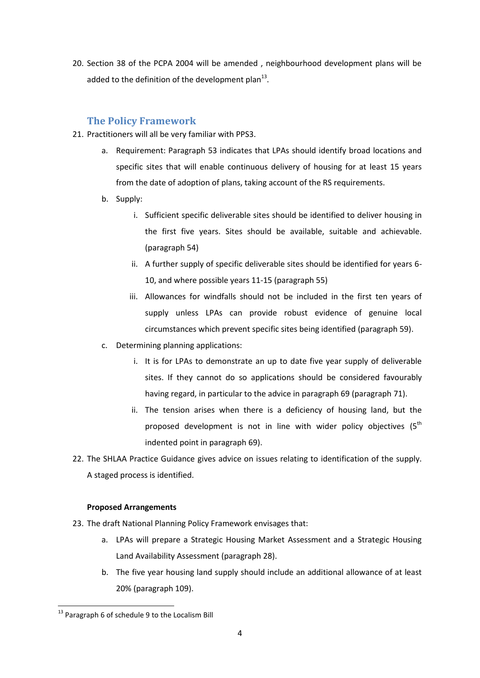20. Section 38 of the PCPA 2004 will be amended , neighbourhood development plans will be added to the definition of the development plan<sup>13</sup>.

# **The Policy Framework**

- 21. Practitioners will all be very familiar with PPS3.
	- a. Requirement: Paragraph 53 indicates that LPAs should identify broad locations and specific sites that will enable continuous delivery of housing for at least 15 years from the date of adoption of plans, taking account of the RS requirements.
	- b. Supply:
		- i. Sufficient specific deliverable sites should be identified to deliver housing in the first five years. Sites should be available, suitable and achievable. (paragraph 54)
		- ii. A further supply of specific deliverable sites should be identified for years 6- 10, and where possible years 11-15 (paragraph 55)
		- iii. Allowances for windfalls should not be included in the first ten years of supply unless LPAs can provide robust evidence of genuine local circumstances which prevent specific sites being identified (paragraph 59).
	- c. Determining planning applications:
		- i. It is for LPAs to demonstrate an up to date five year supply of deliverable sites. If they cannot do so applications should be considered favourably having regard, in particular to the advice in paragraph 69 (paragraph 71).
		- ii. The tension arises when there is a deficiency of housing land, but the proposed development is not in line with wider policy objectives  $(5<sup>th</sup>$ indented point in paragraph 69).
- 22. The SHLAA Practice Guidance gives advice on issues relating to identification of the supply. A staged process is identified.

## **Proposed Arrangements**

- 23. The draft National Planning Policy Framework envisages that:
	- a. LPAs will prepare a Strategic Housing Market Assessment and a Strategic Housing Land Availability Assessment (paragraph 28).
	- b. The five year housing land supply should include an additional allowance of at least 20% (paragraph 109).

**<sup>.</sup>** <sup>13</sup> Paragraph 6 of schedule 9 to the Localism Bill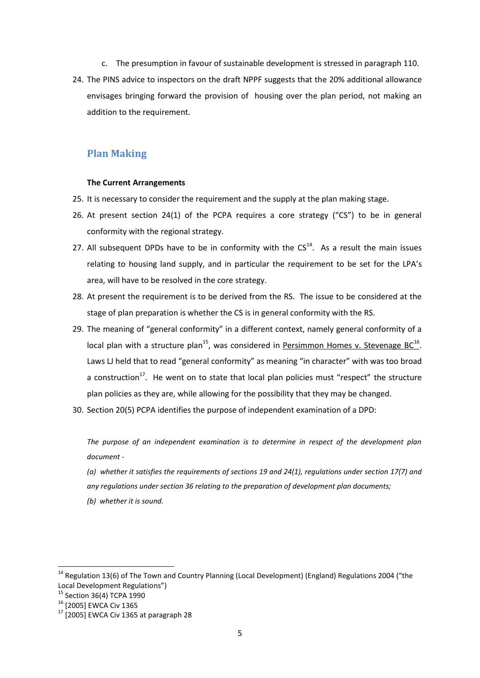- c. The presumption in favour of sustainable development is stressed in paragraph 110.
- 24. The PINS advice to inspectors on the draft NPPF suggests that the 20% additional allowance envisages bringing forward the provision of housing over the plan period, not making an addition to the requirement.

# **Plan Making**

#### **The Current Arrangements**

- 25. It is necessary to consider the requirement and the supply at the plan making stage.
- 26. At present section 24(1) of the PCPA requires a core strategy ("CS") to be in general conformity with the regional strategy.
- 27. All subsequent DPDs have to be in conformity with the  $CS<sup>14</sup>$ . As a result the main issues relating to housing land supply, and in particular the requirement to be set for the LPA's area, will have to be resolved in the core strategy.
- 28. At present the requirement is to be derived from the RS. The issue to be considered at the stage of plan preparation is whether the CS is in general conformity with the RS.
- 29. The meaning of "general conformity" in a different context, namely general conformity of a local plan with a structure plan<sup>15</sup>, was considered in **Persimmon Homes v. Stevenage BC**<sup>16</sup>. Laws LJ held that to read "general conformity" as meaning "in character" with was too broad a construction<sup>17</sup>. He went on to state that local plan policies must "respect" the structure plan policies as they are, while allowing for the possibility that they may be changed.
- 30. Section 20(5) PCPA identifies the purpose of independent examination of a DPD:

*The purpose of an independent examination is to determine in respect of the development plan document -*

- *(a) whether it satisfies the requirements of sections 19 and 24(1), regulations under section 17(7) and any regulations under section 36 relating to the preparation of development plan documents;*
- *(b) whether it is sound.*

 $\overline{a}$ 

<sup>&</sup>lt;sup>14</sup> Regulation 13(6) of The Town and Country Planning (Local Development) (England) Regulations 2004 ("the Local Development Regulations")

<sup>&</sup>lt;sup>15</sup> Section 36(4) TCPA 1990

<sup>16 [2005]</sup> EWCA Civ 1365

 $17$  [2005] EWCA Civ 1365 at paragraph 28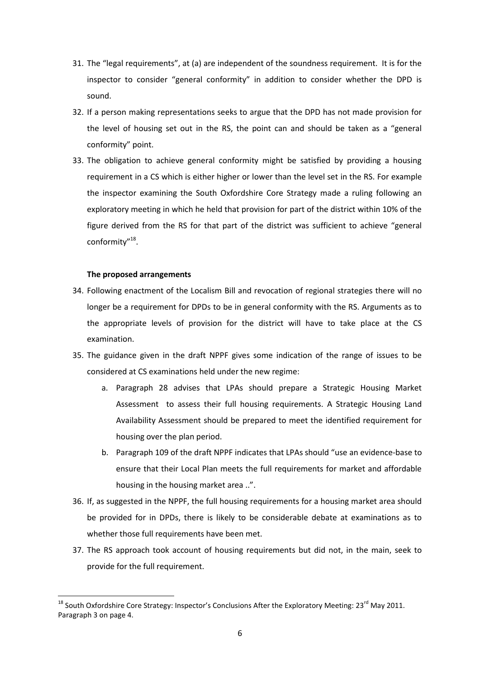- 31. The "legal requirements", at (a) are independent of the soundness requirement. It is for the inspector to consider "general conformity" in addition to consider whether the DPD is sound.
- 32. If a person making representations seeks to argue that the DPD has not made provision for the level of housing set out in the RS, the point can and should be taken as a "general conformity" point.
- 33. The obligation to achieve general conformity might be satisfied by providing a housing requirement in a CS which is either higher or lower than the level set in the RS. For example the inspector examining the South Oxfordshire Core Strategy made a ruling following an exploratory meeting in which he held that provision for part of the district within 10% of the figure derived from the RS for that part of the district was sufficient to achieve "general conformity"<sup>18</sup>.

### **The proposed arrangements**

**.** 

- 34. Following enactment of the Localism Bill and revocation of regional strategies there will no longer be a requirement for DPDs to be in general conformity with the RS. Arguments as to the appropriate levels of provision for the district will have to take place at the CS examination.
- 35. The guidance given in the draft NPPF gives some indication of the range of issues to be considered at CS examinations held under the new regime:
	- a. Paragraph 28 advises that LPAs should prepare a Strategic Housing Market Assessment to assess their full housing requirements. A Strategic Housing Land Availability Assessment should be prepared to meet the identified requirement for housing over the plan period.
	- b. Paragraph 109 of the draft NPPF indicates that LPAs should "use an evidence-base to ensure that their Local Plan meets the full requirements for market and affordable housing in the housing market area ..".
- 36. If, as suggested in the NPPF, the full housing requirements for a housing market area should be provided for in DPDs, there is likely to be considerable debate at examinations as to whether those full requirements have been met.
- 37. The RS approach took account of housing requirements but did not, in the main, seek to provide for the full requirement.

 $^{18}$  South Oxfordshire Core Strategy: Inspector's Conclusions After the Exploratory Meeting: 23<sup>rd</sup> May 2011. Paragraph 3 on page 4.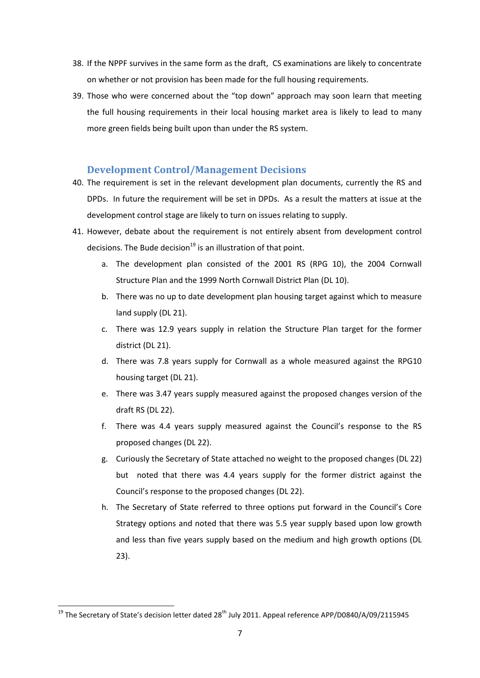- 38. If the NPPF survives in the same form as the draft, CS examinations are likely to concentrate on whether or not provision has been made for the full housing requirements.
- 39. Those who were concerned about the "top down" approach may soon learn that meeting the full housing requirements in their local housing market area is likely to lead to many more green fields being built upon than under the RS system.

## **Development Control/Management Decisions**

- 40. The requirement is set in the relevant development plan documents, currently the RS and DPDs. In future the requirement will be set in DPDs. As a result the matters at issue at the development control stage are likely to turn on issues relating to supply.
- 41. However, debate about the requirement is not entirely absent from development control decisions. The Bude decision $^{19}$  is an illustration of that point.
	- a. The development plan consisted of the 2001 RS (RPG 10), the 2004 Cornwall Structure Plan and the 1999 North Cornwall District Plan (DL 10).
	- b. There was no up to date development plan housing target against which to measure land supply (DL 21).
	- c. There was 12.9 years supply in relation the Structure Plan target for the former district (DL 21).
	- d. There was 7.8 years supply for Cornwall as a whole measured against the RPG10 housing target (DL 21).
	- e. There was 3.47 years supply measured against the proposed changes version of the draft RS (DL 22).
	- f. There was 4.4 years supply measured against the Council's response to the RS proposed changes (DL 22).
	- g. Curiously the Secretary of State attached no weight to the proposed changes (DL 22) but noted that there was 4.4 years supply for the former district against the Council's response to the proposed changes (DL 22).
	- h. The Secretary of State referred to three options put forward in the Council's Core Strategy options and noted that there was 5.5 year supply based upon low growth and less than five years supply based on the medium and high growth options (DL 23).

**.** 

<sup>&</sup>lt;sup>19</sup> The Secretary of State's decision letter dated 28<sup>th</sup> July 2011. Appeal reference APP/D0840/A/09/2115945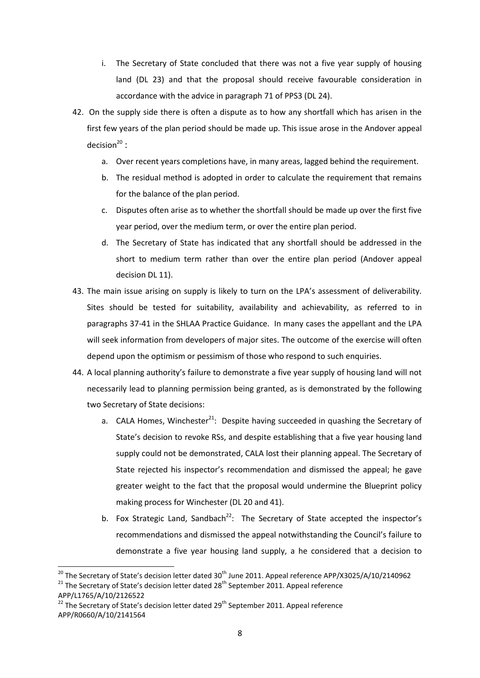- i. The Secretary of State concluded that there was not a five year supply of housing land (DL 23) and that the proposal should receive favourable consideration in accordance with the advice in paragraph 71 of PPS3 (DL 24).
- 42. On the supply side there is often a dispute as to how any shortfall which has arisen in the first few years of the plan period should be made up. This issue arose in the Andover appeal decision $^{20}$  :
	- a. Over recent years completions have, in many areas, lagged behind the requirement.
	- b. The residual method is adopted in order to calculate the requirement that remains for the balance of the plan period.
	- c. Disputes often arise as to whether the shortfall should be made up over the first five year period, over the medium term, or over the entire plan period.
	- d. The Secretary of State has indicated that any shortfall should be addressed in the short to medium term rather than over the entire plan period (Andover appeal decision DL 11).
- 43. The main issue arising on supply is likely to turn on the LPA's assessment of deliverability. Sites should be tested for suitability, availability and achievability, as referred to in paragraphs 37-41 in the SHLAA Practice Guidance. In many cases the appellant and the LPA will seek information from developers of major sites. The outcome of the exercise will often depend upon the optimism or pessimism of those who respond to such enquiries.
- 44. A local planning authority's failure to demonstrate a five year supply of housing land will not necessarily lead to planning permission being granted, as is demonstrated by the following two Secretary of State decisions:
	- a. CALA Homes, Winchester<sup>21</sup>: Despite having succeeded in quashing the Secretary of State's decision to revoke RSs, and despite establishing that a five year housing land supply could not be demonstrated, CALA lost their planning appeal. The Secretary of State rejected his inspector's recommendation and dismissed the appeal; he gave greater weight to the fact that the proposal would undermine the Blueprint policy making process for Winchester (DL 20 and 41).
	- b. Fox Strategic Land, Sandbach<sup>22</sup>: The Secretary of State accepted the inspector's recommendations and dismissed the appeal notwithstanding the Council's failure to demonstrate a five year housing land supply, a he considered that a decision to

 $\overline{a}$ 

<sup>&</sup>lt;sup>20</sup> The Secretary of State's decision letter dated 30<sup>th</sup> June 2011. Appeal reference APP/X3025/A/10/2140962

 $21$  The Secretary of State's decision letter dated 28<sup>th</sup> September 2011. Appeal reference APP/L1765/A/10/2126522

 $22$  The Secretary of State's decision letter dated 29<sup>th</sup> September 2011. Appeal reference APP/R0660/A/10/2141564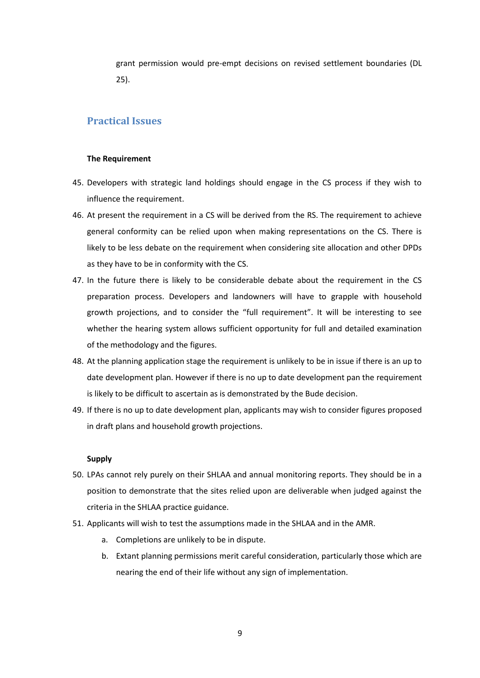grant permission would pre-empt decisions on revised settlement boundaries (DL 25).

# **Practical Issues**

### **The Requirement**

- 45. Developers with strategic land holdings should engage in the CS process if they wish to influence the requirement.
- 46. At present the requirement in a CS will be derived from the RS. The requirement to achieve general conformity can be relied upon when making representations on the CS. There is likely to be less debate on the requirement when considering site allocation and other DPDs as they have to be in conformity with the CS.
- 47. In the future there is likely to be considerable debate about the requirement in the CS preparation process. Developers and landowners will have to grapple with household growth projections, and to consider the "full requirement". It will be interesting to see whether the hearing system allows sufficient opportunity for full and detailed examination of the methodology and the figures.
- 48. At the planning application stage the requirement is unlikely to be in issue if there is an up to date development plan. However if there is no up to date development pan the requirement is likely to be difficult to ascertain as is demonstrated by the Bude decision.
- 49. If there is no up to date development plan, applicants may wish to consider figures proposed in draft plans and household growth projections.

#### **Supply**

- 50. LPAs cannot rely purely on their SHLAA and annual monitoring reports. They should be in a position to demonstrate that the sites relied upon are deliverable when judged against the criteria in the SHLAA practice guidance.
- 51. Applicants will wish to test the assumptions made in the SHLAA and in the AMR.
	- a. Completions are unlikely to be in dispute.
	- b. Extant planning permissions merit careful consideration, particularly those which are nearing the end of their life without any sign of implementation.